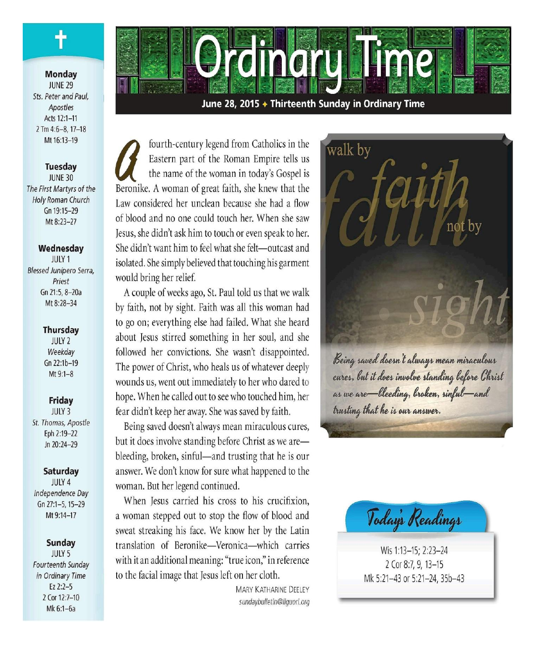

#### **Monday JUNE 29** Sts. Peter and Paul. Apostles Acts 12:1-11  $2$  Tm 4:6-8, 17-18 Mt 16:13-19

**Tuesday JUNE 30** The First Martyrs of the Holy Roman Church Gn 19:15-29 Mt 8:23-27

#### Wednesday

JULY 1 Blessed Junípero Serra, Priest Gn 21:5, 8-20a Mt 8:28-34

#### **Thursday**

**JULY 2** Weekday Gn 22:1b-19 Mt 9:1-8

#### Friday

JULY 3 St. Thomas, Apostle Eph 2:19-22 Jn 20:24-29

#### Saturday

**JULY 4** Independence Day Gn 27:1-5, 15-29 Mt 9:14-17

#### **Sunday**

**JULY 5** Fourteenth Sunday in Ordinary Time  $Ez$  2:2-5 2 Cor 12:7-10 Mk 6:1-6a

June 28, 2015 ♦ Thirteenth Sunday in Ordinary Time

**CHACK** 

fourth-century legend from Catholics in the Eastern part of the Roman Empire tells us the name of the woman in today's Gospel is Beronike. A woman of great faith, she knew that the Law considered her unclean because she had a flow of blood and no one could touch her. When she saw Jesus, she didn't ask him to touch or even speak to her. She didn't want him to feel what she felt-outcast and isolated. She simply believed that touching his garment would bring her relief.

A couple of weeks ago, St. Paul told us that we walk by faith, not by sight. Faith was all this woman had to go on; everything else had failed. What she heard about Jesus stirred something in her soul, and she followed her convictions. She wasn't disappointed. The power of Christ, who heals us of whatever deeply wounds us, went out immediately to her who dared to hope. When he called out to see who touched him, her fear didn't keep her away. She was saved by faith.

Being saved doesn't always mean miraculous cures, but it does involve standing before Christ as we arebleeding, broken, sinful—and trusting that he is our answer. We don't know for sure what happened to the woman. But her legend continued.

When Jesus carried his cross to his crucifixion, a woman stepped out to stop the flow of blood and sweat streaking his face. We know her by the Latin translation of Beronike-Veronica-which carries with it an additional meaning: "true icon," in reference to the facial image that Jesus left on her cloth.

> **MARY KATHARINE DEELEY** sundaybulletin@liquori.org





Wis 1:13-15; 2:23-24 2 Cor 8:7, 9, 13-15 Mk 5:21-43 or 5:21-24, 35b-43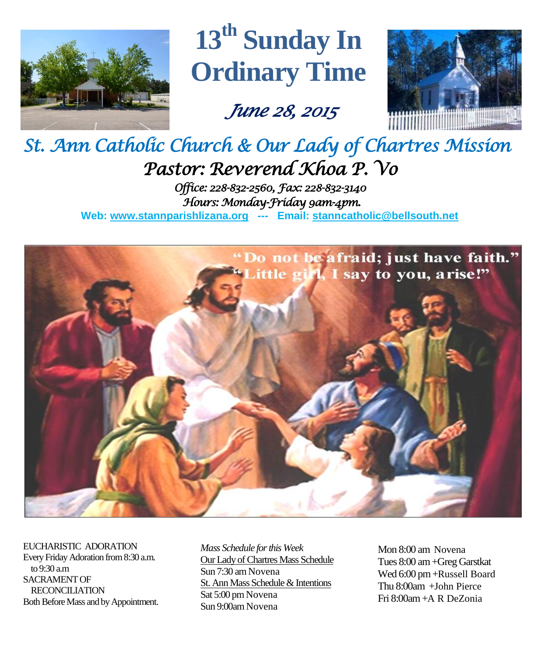

# **13 th Sunday In Ordinary Time**

 *June 28, 2015* 



## *St. Ann Catholic Church & Our Lady of Chartres Mission Pastor: Reverend Khoa P. Vo Office: 228-832-2560, Fax: 228-832-3140 Hours: Monday-Friday 9am-4pm.*

**Web: www.stannparishlizana.org --- Email: [stanncatholic@bellsouth.net](mailto:stanncatholic@bellsouth.net)**



EUCHARISTIC ADORATION Every Friday Adoration from 8:30 a.m. to 9:30 a.m SACRAMENT OF RECONCILIATION Both Before Mass and by Appointment.

*Mass Schedule for this Week*  Our Lady of Chartres Mass Schedule Sun 7:30 am Novena St. Ann Mass Schedule & Intentions Sat 5:00 pm Novena Sun 9:00am Novena

Mon 8:00 am Novena Tues 8:00 am +Greg Garstkat Wed 6:00 pm +Russell Board Thu 8:00am +John Pierce Fri 8:00am+A R DeZonia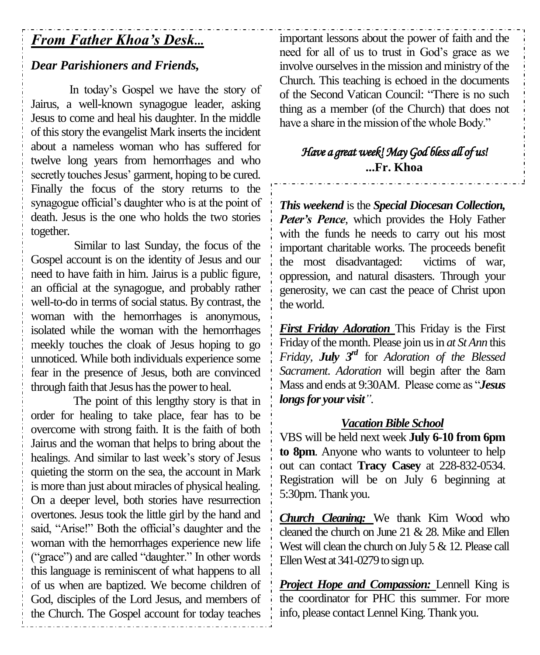## *From Father Khoa's Desk...*

## *Dear Parishioners and Friends,*

In today's Gospel we have the story of Jairus, a well-known synagogue leader, asking Jesus to come and heal his daughter. In the middle of this story the evangelist Mark inserts the incident about a nameless woman who has suffered for twelve long years from hemorrhages and who secretly touches Jesus' garment, hoping to be cured. Finally the focus of the story returns to the synagogue official's daughter who is at the point of death. Jesus is the one who holds the two stories together.

Similar to last Sunday, the focus of the Gospel account is on the identity of Jesus and our need to have faith in him. Jairus is a public figure, an official at the synagogue, and probably rather well-to-do in terms of social status. By contrast, the woman with the hemorrhages is anonymous, isolated while the woman with the hemorrhages meekly touches the cloak of Jesus hoping to go unnoticed. While both individuals experience some fear in the presence of Jesus, both are convinced through faith that Jesus has the power to heal.

The point of this lengthy story is that in order for healing to take place, fear has to be overcome with strong faith. It is the faith of both Jairus and the woman that helps to bring about the healings. And similar to last week's story of Jesus quieting the storm on the sea, the account in Mark is more than just about miracles of physical healing. On a deeper level, both stories have resurrection overtones. Jesus took the little girl by the hand and said, "Arise!" Both the official's daughter and the woman with the hemorrhages experience new life ("grace") and are called "daughter." In other words this language is reminiscent of what happens to all of us when are baptized. We become children of God, disciples of the Lord Jesus, and members of the Church. The Gospel account for today teaches important lessons about the power of faith and the need for all of us to trust in God's grace as we involve ourselves in the mission and ministry of the Church. This teaching is echoed in the documents of the Second Vatican Council: "There is no such thing as a member (of the Church) that does not have a share in the mission of the whole Body."

## *Have a great week! May God bless all of us!*  **...Fr. Khoa**

*This weekend* is the *Special Diocesan Collection, Peter's Pence*, which provides the Holy Father with the funds he needs to carry out his most important charitable works. The proceeds benefit the most disadvantaged: victims of war, oppression, and natural disasters. Through your generosity, we can cast the peace of Christ upon the world.

*First Friday Adoration* This Friday is the First Friday of the month. Please join us in *at St Ann* this *Friday*, *July*  $3^{rd}$  for *Adoration of the Blessed Sacrament*. *Adoration* will begin after the 8am Mass and ends at 9:30AM. Please come as "*Jesus longs for your visit"*.

## *Vacation Bible School*

VBS will be held next week **July 6-10 from 6pm to 8pm**. Anyone who wants to volunteer to help out can contact **Tracy Casey** at 228-832-0534. Registration will be on July 6 beginning at 5:30pm. Thank you.

*Church Cleaning:* We thank Kim Wood who cleaned the church on June 21 & 28. Mike and Ellen West will clean the church on July 5 & 12. Please call Ellen West at 341-0279 to sign up.

*Project Hope and Compassion:* Lennell King is the coordinator for PHC this summer. For more info, please contact Lennel King. Thank you.